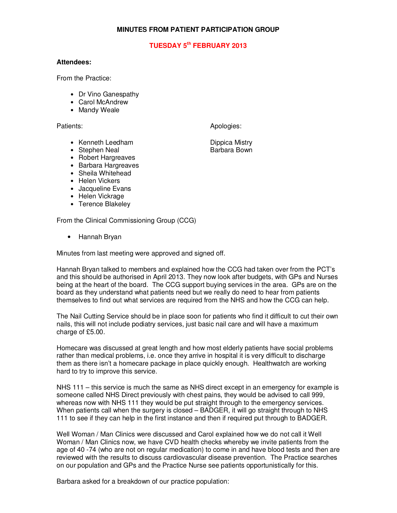## **MINUTES FROM PATIENT PARTICIPATION GROUP**

## **TUESDAY 5th FEBRUARY 2013**

## **Attendees:**

From the Practice:

- Dr Vino Ganespathy
- Carol McAndrew
- Mandy Weale

Patients: Apologies: Apologies: Apologies: Apologies: Apologies: Apologies: Apologies: Apologies: Apologies: Apologies: Apologies: Apologies: Apologies: Apologies: Apologies: Apologies: Apologies: Apologies: Apologies: Apo

- Kenneth Leedham **Dippica Mistry**<br>• Stephen Neal **Dippica Barbara Bown**
- Stephen Neal
- Robert Hargreaves
- Barbara Hargreaves
- Sheila Whitehead
- Helen Vickers
- Jacqueline Evans
- Helen Vickrage
- Terence Blakeley

From the Clinical Commissioning Group (CCG)

• Hannah Bryan

Minutes from last meeting were approved and signed off.

Hannah Bryan talked to members and explained how the CCG had taken over from the PCT's and this should be authorised in April 2013. They now look after budgets, with GPs and Nurses being at the heart of the board. The CCG support buying services in the area. GPs are on the board as they understand what patients need but we really do need to hear from patients themselves to find out what services are required from the NHS and how the CCG can help.

The Nail Cutting Service should be in place soon for patients who find it difficult to cut their own nails, this will not include podiatry services, just basic nail care and will have a maximum charge of £5.00.

Homecare was discussed at great length and how most elderly patients have social problems rather than medical problems, i.e. once they arrive in hospital it is very difficult to discharge them as there isn't a homecare package in place quickly enough. Healthwatch are working hard to try to improve this service.

NHS 111 – this service is much the same as NHS direct except in an emergency for example is someone called NHS Direct previously with chest pains, they would be advised to call 999, whereas now with NHS 111 they would be put straight through to the emergency services. When patients call when the surgery is closed – BADGER, it will go straight through to NHS 111 to see if they can help in the first instance and then if required put through to BADGER.

Well Woman / Man Clinics were discussed and Carol explained how we do not call it Well Woman / Man Clinics now, we have CVD health checks whereby we invite patients from the age of 40 -74 (who are not on regular medication) to come in and have blood tests and then are reviewed with the results to discuss cardiovascular disease prevention. The Practice searches on our population and GPs and the Practice Nurse see patients opportunistically for this.

Barbara asked for a breakdown of our practice population: